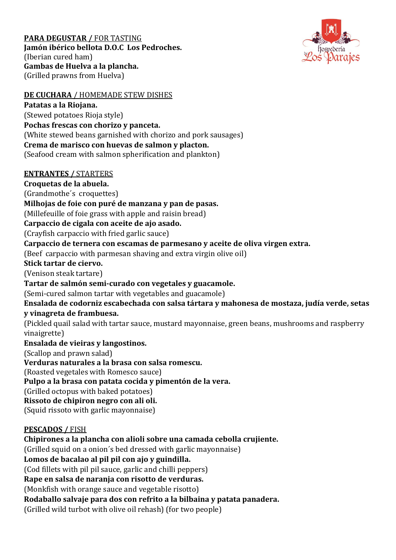### **PARA DEGUSTAR /** FOR TASTING **Jamón ibérico bellota D.O.C Los Pedroches.**  (Iberian cured ham) **Gambas de Huelva a la plancha.** (Grilled prawns from Huelva)



# **DE CUCHARA** / HOMEMADE STEW DISHES

**Patatas a la Riojana.**  (Stewed potatoes Rioja style) **Pochas frescas con chorizo y panceta.**  (White stewed beans garnished with chorizo and pork sausages) **Crema de marisco con huevas de salmon y placton.**  (Seafood cream with salmon spherification and plankton)

### **ENTRANTES /** STARTERS

**Croquetas de la abuela.** 

(Grandmothe´s croquettes)

**Milhojas de foie con puré de manzana y pan de pasas.**

(Millefeuille of foie grass with apple and raisin bread)

**Carpaccio de cigala con aceite de ajo asado.**

(Crayfish carpaccio with fried garlic sauce)

**Carpaccio de ternera con escamas de parmesano y aceite de oliva virgen extra.**

(Beef carpaccio with parmesan shaving and extra virgin olive oil)

### **Stick tartar de ciervo.**

(Venison steak tartare)

## **Tartar de salmón semi-curado con vegetales y guacamole.**

(Semi-cured salmon tartar with vegetables and guacamole)

**Ensalada de codorniz escabechada con salsa tártara y mahonesa de mostaza, judía verde, setas y vinagreta de frambuesa.** 

(Pickled quail salad with tartar sauce, mustard mayonnaise, green beans, mushrooms and raspberry vinaigrette)

# **Ensalada de vieiras y langostinos.**

(Scallop and prawn salad)

**Verduras naturales a la brasa con salsa romescu.**

(Roasted vegetales with Romesco sauce)

**Pulpo a la brasa con patata cocida y pimentón de la vera.**

(Grilled octopus with baked potatoes)

**Rissoto de chipiron negro con ali oli.**

(Squid rissoto with garlic mayonnaise)

# **PESCADOS /** FISH

**Chipirones a la plancha con alioli sobre una camada cebolla crujiente.** 

(Grilled squid on a onion´s bed dressed with garlic mayonnaise)

# **Lomos de bacalao al pil pil con ajo y guindilla.**

(Cod fillets with pil pil sauce, garlic and chilli peppers)

**Rape en salsa de naranja con risotto de verduras.** 

(Monkfish with orange sauce and vegetable risotto)

**Rodaballo salvaje para dos con refrito a la bilbaina y patata panadera.** 

(Grilled wild turbot with olive oil rehash) (for two people)